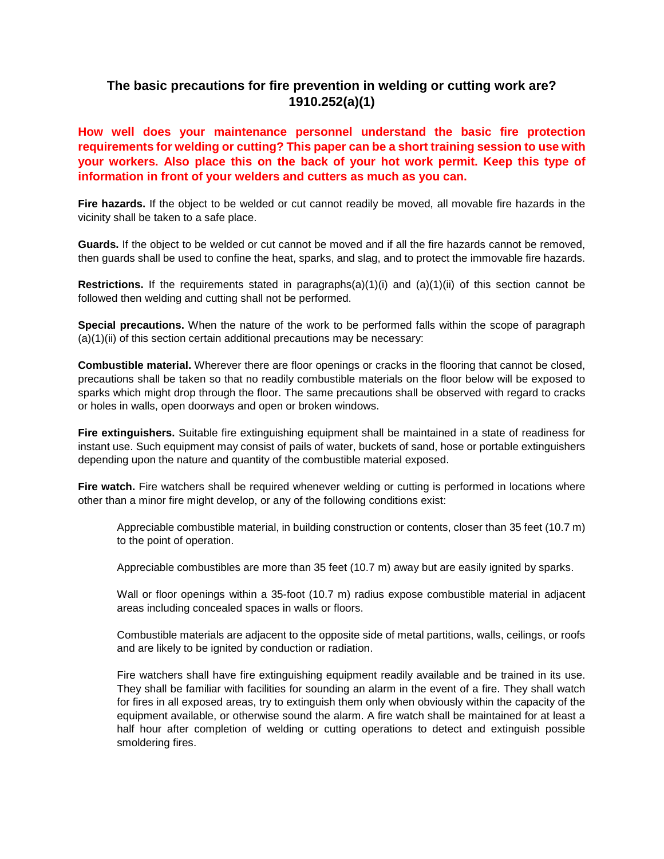## **The basic precautions for fire prevention in welding or cutting work are? 1910.252(a)(1)**

**How well does your maintenance personnel understand the basic fire protection requirements for welding or cutting? This paper can be a short training session to use with your workers. Also place this on the back of your hot work permit. Keep this type of information in front of your welders and cutters as much as you can.** 

**Fire hazards.** If the object to be welded or cut cannot readily be moved, all movable fire hazards in the vicinity shall be taken to a safe place.

**Guards.** If the object to be welded or cut cannot be moved and if all the fire hazards cannot be removed, then guards shall be used to confine the heat, sparks, and slag, and to protect the immovable fire hazards.

**Restrictions.** If the requirements stated in paragraphs(a)(1)(i) and (a)(1)(ii) of this section cannot be followed then welding and cutting shall not be performed.

**Special precautions.** When the nature of the work to be performed falls within the scope of paragraph (a)(1)(ii) of this section certain additional precautions may be necessary:

**Combustible material.** Wherever there are floor openings or cracks in the flooring that cannot be closed, precautions shall be taken so that no readily combustible materials on the floor below will be exposed to sparks which might drop through the floor. The same precautions shall be observed with regard to cracks or holes in walls, open doorways and open or broken windows.

**Fire extinguishers.** Suitable fire extinguishing equipment shall be maintained in a state of readiness for instant use. Such equipment may consist of pails of water, buckets of sand, hose or portable extinguishers depending upon the nature and quantity of the combustible material exposed.

**Fire watch.** Fire watchers shall be required whenever welding or cutting is performed in locations where other than a minor fire might develop, or any of the following conditions exist:

Appreciable combustible material, in building construction or contents, closer than 35 feet (10.7 m) to the point of operation.

Appreciable combustibles are more than 35 feet (10.7 m) away but are easily ignited by sparks.

Wall or floor openings within a 35-foot (10.7 m) radius expose combustible material in adjacent areas including concealed spaces in walls or floors.

Combustible materials are adjacent to the opposite side of metal partitions, walls, ceilings, or roofs and are likely to be ignited by conduction or radiation.

Fire watchers shall have fire extinguishing equipment readily available and be trained in its use. They shall be familiar with facilities for sounding an alarm in the event of a fire. They shall watch for fires in all exposed areas, try to extinguish them only when obviously within the capacity of the equipment available, or otherwise sound the alarm. A fire watch shall be maintained for at least a half hour after completion of welding or cutting operations to detect and extinguish possible smoldering fires.